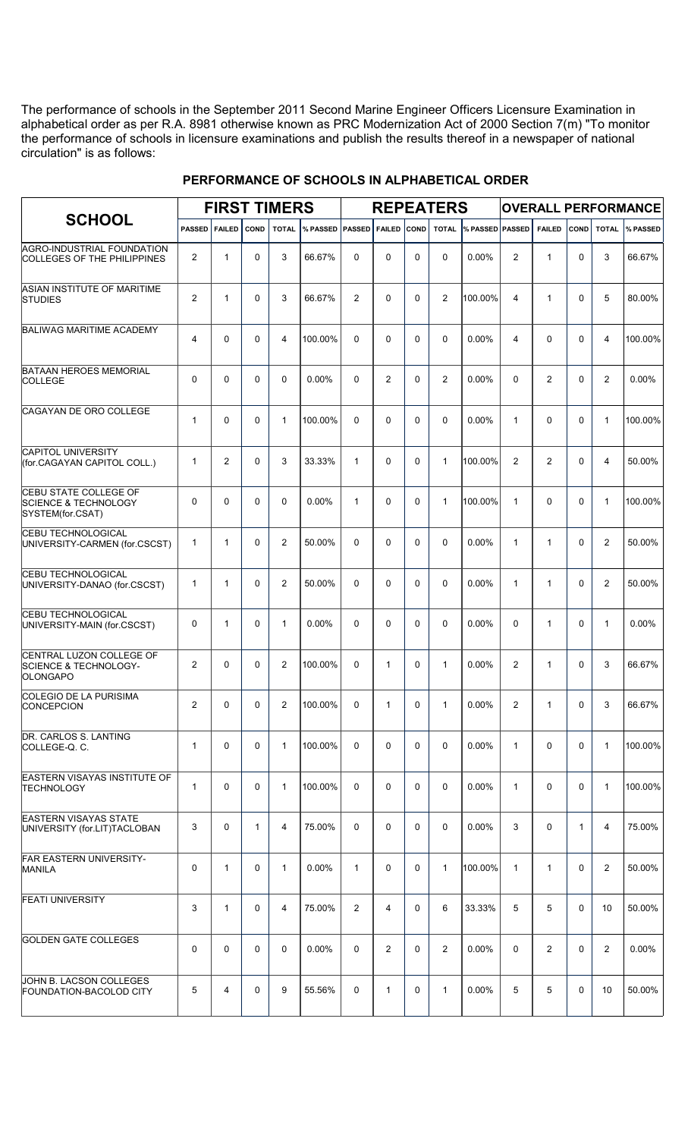The performance of schools in the September 2011 Second Marine Engineer Officers Licensure Examination in alphabetical order as per R.A. 8981 otherwise known as PRC Modernization Act of 2000 Section 7(m) "To monitor the performance of schools in licensure examinations and publish the results thereof in a newspaper of national circulation" is as follows:

| <b>SCHOOL</b>                                                                       |                |                |              | <b>FIRST TIMERS</b> |          |               |               |              | <b>REPEATERS</b> |                 |                |                |              |                | <b>OVERALL PERFORMANCE</b> |  |  |  |  |
|-------------------------------------------------------------------------------------|----------------|----------------|--------------|---------------------|----------|---------------|---------------|--------------|------------------|-----------------|----------------|----------------|--------------|----------------|----------------------------|--|--|--|--|
|                                                                                     | <b>PASSED</b>  | <b>FAILED</b>  | <b>COND</b>  | <b>TOTAL</b>        | % PASSED | <b>PASSED</b> | <b>FAILED</b> | COND         | <b>TOTAL</b>     | % PASSED PASSED |                | <b>FAILED</b>  | COND         | <b>TOTAL</b>   | % PASSED                   |  |  |  |  |
| AGRO-INDUSTRIAL FOUNDATION<br>COLLEGES OF THE PHILIPPINES                           | $\overline{2}$ | $\mathbf{1}$   | $\Omega$     | 3                   | 66.67%   | $\Omega$      | $\Omega$      | $\Omega$     | $\Omega$         | $0.00\%$        | 2              | $\mathbf{1}$   | $\Omega$     | 3              | 66.67%                     |  |  |  |  |
| ASIAN INSTITUTE OF MARITIME<br><b>STUDIES</b>                                       | $\overline{2}$ | 1              | $\Omega$     | 3                   | 66.67%   | 2             | $\Omega$      | $\Omega$     | $\overline{2}$   | 100.00%         | $\overline{4}$ | $\mathbf{1}$   | $\Omega$     | 5              | 80.00%                     |  |  |  |  |
| <b>BALIWAG MARITIME ACADEMY</b>                                                     | $\overline{4}$ | 0              | $\Omega$     | 4                   | 100.00%  | $\Omega$      | $\Omega$      | $\Omega$     | $\Omega$         | $0.00\%$        | $\overline{4}$ | $\Omega$       | $\Omega$     | 4              | 100.00%                    |  |  |  |  |
| <b>BATAAN HEROES MEMORIAL</b><br><b>COLLEGE</b>                                     | 0              | 0              | $\Omega$     | 0                   | $0.00\%$ | $\Omega$      | 2             | $\Omega$     | 2                | 0.00%           | $\Omega$       | $\overline{2}$ | $\Omega$     | $\overline{2}$ | $0.00\%$                   |  |  |  |  |
| <b>CAGAYAN DE ORO COLLEGE</b>                                                       | $\mathbf{1}$   | 0              | $\Omega$     | $\mathbf{1}$        | 100.00%  | $\Omega$      | $\Omega$      | $\Omega$     | $\Omega$         | $0.00\%$        | $\mathbf{1}$   | $\Omega$       | $\Omega$     | $\mathbf{1}$   | 100.00%                    |  |  |  |  |
| <b>CAPITOL UNIVERSITY</b><br>(for.CAGAYAN CAPITOL COLL.)                            | $\mathbf{1}$   | $\overline{2}$ | $\Omega$     | 3                   | 33.33%   | $\mathbf{1}$  | $\Omega$      | $\Omega$     | $\mathbf{1}$     | 100.00%         | 2              | 2              | $\Omega$     | 4              | 50.00%                     |  |  |  |  |
| <b>CEBU STATE COLLEGE OF</b><br><b>SCIENCE &amp; TECHNOLOGY</b><br>SYSTEM(for.CSAT) | 0              | 0              | $\Omega$     | 0                   | $0.00\%$ | $\mathbf{1}$  | $\Omega$      | $\Omega$     | $\mathbf{1}$     | 100.00%         | $\mathbf{1}$   | $\Omega$       | $\Omega$     | $\mathbf{1}$   | 100.00%                    |  |  |  |  |
| <b>CEBU TECHNOLOGICAL</b><br>UNIVERSITY-CARMEN (for.CSCST)                          | $\mathbf{1}$   | 1              | $\Omega$     | $\overline{2}$      | 50.00%   | $\Omega$      | $\Omega$      | $\Omega$     | $\Omega$         | $0.00\%$        | $\mathbf{1}$   | 1              | $\Omega$     | $\overline{2}$ | 50.00%                     |  |  |  |  |
| <b>CEBU TECHNOLOGICAL</b><br>UNIVERSITY-DANAO (for.CSCST)                           | $\mathbf{1}$   | 1              | $\Omega$     | $\overline{2}$      | 50.00%   | $\Omega$      | $\Omega$      | $\Omega$     | $\Omega$         | 0.00%           | $\mathbf{1}$   | 1              | $\Omega$     | $\overline{2}$ | 50.00%                     |  |  |  |  |
| <b>CEBU TECHNOLOGICAL</b><br>UNIVERSITY-MAIN (for.CSCST)                            | 0              | 1              | $\Omega$     | $\mathbf{1}$        | $0.00\%$ | $\Omega$      | $\Omega$      | $\Omega$     | $\Omega$         | 0.00%           | $\Omega$       | 1              | $\Omega$     | $\mathbf{1}$   | 0.00%                      |  |  |  |  |
| CENTRAL LUZON COLLEGE OF<br>SCIENCE & TECHNOLOGY-<br><b>OLONGAPO</b>                | $\overline{2}$ | $\Omega$       | $\Omega$     | $\overline{2}$      | 100.00%  | $\Omega$      | $\mathbf{1}$  | $\Omega$     | $\mathbf{1}$     | $0.00\%$        | 2              | 1              | $\Omega$     | 3              | 66.67%                     |  |  |  |  |
| COLEGIO DE LA PURISIMA<br>CONCEPCION                                                | $\overline{2}$ | $\mathbf 0$    | $\mathsf{O}$ | $2^{\circ}$         | 100.00%  | $\mathbf{0}$  | $\mathbf{1}$  | $\mathsf{O}$ | $\mathbf{1}$     | $0.00\%$        | $\overline{2}$ |                | 0            | 3 <sup>7</sup> | 66.67%                     |  |  |  |  |
| DR. CARLOS S. LANTING<br>COLLEGE-Q. C.                                              | $\mathbf{1}$   | $\mathbf 0$    | $\Omega$     | $\mathbf{1}$        | 100.00%  | $\Omega$      | 0             | $\mathbf 0$  | $\Omega$         | 0.00%           | $\mathbf{1}$   | $\Omega$       | $\mathbf 0$  | $\mathbf{1}$   | 100.00%                    |  |  |  |  |
| <b>EASTERN VISAYAS INSTITUTE OF</b><br><b>TECHNOLOGY</b>                            | $\mathbf{1}$   | $\mathbf 0$    | $\mathbf 0$  | $\mathbf{1}$        | 100.00%  | 0             | 0             | $\mathbf 0$  | $\Omega$         | $0.00\%$        | $\mathbf{1}$   | $\Omega$       | $\mathbf 0$  | $\mathbf{1}$   | 100.00%                    |  |  |  |  |
| <b>EASTERN VISAYAS STATE</b><br>UNIVERSITY (for.LIT)TACLOBAN                        | 3              | $\mathbf 0$    | $\mathbf{1}$ | 4                   | 75.00%   | $\mathbf 0$   | 0             | 0            | $\Omega$         | 0.00%           | 3              | $\mathbf 0$    | $\mathbf{1}$ | $\overline{4}$ | 75.00%                     |  |  |  |  |
| <b>FAR EASTERN UNIVERSITY-</b><br>MANILA                                            | 0              | $\mathbf{1}$   | $\mathbf 0$  | $\mathbf{1}$        | $0.00\%$ | $\mathbf{1}$  | 0             | $\mathbf 0$  | $\mathbf{1}$     | 100.00%         | $\mathbf{1}$   | $\mathbf{1}$   | $\mathbf 0$  | $\overline{2}$ | 50.00%                     |  |  |  |  |
| <b>FEATI UNIVERSITY</b>                                                             | 3              | $\mathbf{1}$   | $\mathbf 0$  | 4                   | 75.00%   | 2             | 4             | 0            | 6                | 33.33%          | 5              | 5              | $\mathbf 0$  | 10             | 50.00%                     |  |  |  |  |
| <b>GOLDEN GATE COLLEGES</b>                                                         | 0              | 0              | $\mathbf 0$  | $\mathbf 0$         | $0.00\%$ | $\mathbf 0$   | 2             | 0            | 2                | 0.00%           | $\Omega$       | $\overline{2}$ | $\mathbf 0$  | $\overline{2}$ | 0.00%                      |  |  |  |  |
| JOHN B. LACSON COLLEGES<br><b>FOUNDATION-BACOLOD CITY</b>                           | 5              | $\overline{4}$ | 0            | 9                   | 55.56%   | 0             | $\mathbf{1}$  | 0            | $\mathbf{1}$     | 0.00%           | 5              | 5              | $\mathbf 0$  | 10             | 50.00%                     |  |  |  |  |

## **PERFORMANCE OF SCHOOLS IN ALPHABETICAL ORDER**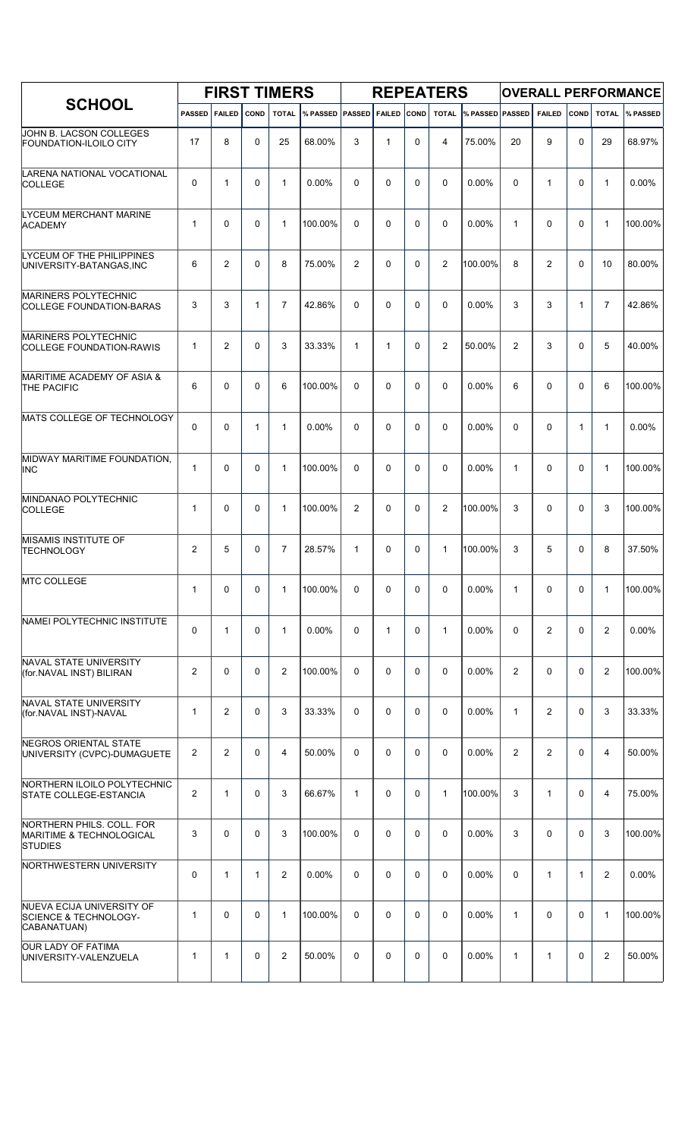| <b>SCHOOL</b>                                                                |                |                |              | <b>FIRST TIMERS</b> |                        |                |               |             | <b>REPEATERS</b> |                        |                |                |              |                | <b>OVERALL PERFORMANCE</b> |  |  |  |  |
|------------------------------------------------------------------------------|----------------|----------------|--------------|---------------------|------------------------|----------------|---------------|-------------|------------------|------------------------|----------------|----------------|--------------|----------------|----------------------------|--|--|--|--|
|                                                                              | <b>PASSED</b>  | <b>FAILED</b>  | <b>COND</b>  | <b>TOTAL</b>        | <b>% PASSED PASSED</b> |                | <b>FAILED</b> | <b>COND</b> | <b>TOTAL</b>     | <b>% PASSED PASSED</b> |                | <b>FAILED</b>  | <b>COND</b>  | <b>TOTAL</b>   | % PASSED                   |  |  |  |  |
| JOHN B. LACSON COLLEGES<br><b>FOUNDATION-ILOILO CITY</b>                     | 17             | 8              | $\Omega$     | 25                  | 68.00%                 | 3              | $\mathbf{1}$  | 0           | $\overline{4}$   | 75.00%                 | 20             | 9              | $\mathbf 0$  | 29             | 68.97%                     |  |  |  |  |
| LARENA NATIONAL VOCATIONAL<br><b>COLLEGE</b>                                 | 0              | $\mathbf{1}$   | $\Omega$     | $\mathbf{1}$        | 0.00%                  | $\Omega$       | $\Omega$      | $\Omega$    | $\Omega$         | 0.00%                  | $\Omega$       | $\mathbf{1}$   | $\Omega$     | $\mathbf{1}$   | 0.00%                      |  |  |  |  |
| LYCEUM MERCHANT MARINE<br><b>ACADEMY</b>                                     | $\mathbf{1}$   | 0              | $\Omega$     | $\mathbf{1}$        | 100.00%                | $\Omega$       | $\Omega$      | $\Omega$    | $\mathbf{0}$     | 0.00%                  | $\mathbf{1}$   | $\Omega$       | $\Omega$     | $\mathbf{1}$   | 100.00%                    |  |  |  |  |
| LYCEUM OF THE PHILIPPINES<br>UNIVERSITY-BATANGAS, INC                        | 6              | $\overline{2}$ | $\Omega$     | 8                   | 75.00%                 | $\overline{2}$ | $\Omega$      | $\Omega$    | $\overline{2}$   | 100.00%                | 8              | 2              | $\Omega$     | 10             | 80.00%                     |  |  |  |  |
| <b>MARINERS POLYTECHNIC</b><br><b>COLLEGE FOUNDATION-BARAS</b>               | 3              | 3              | $\mathbf{1}$ | $\overline{7}$      | 42.86%                 | $\Omega$       | $\Omega$      | $\Omega$    | $\mathbf{0}$     | 0.00%                  | 3              | 3              | $\mathbf{1}$ | $\overline{7}$ | 42.86%                     |  |  |  |  |
| MARINERS POLYTECHNIC<br><b>COLLEGE FOUNDATION-RAWIS</b>                      | $\mathbf{1}$   | $\overline{2}$ | $\Omega$     | 3                   | 33.33%                 | $\mathbf{1}$   | $\mathbf{1}$  | $\Omega$    | $\overline{2}$   | 50.00%                 | $\overline{2}$ | 3              | $\Omega$     | 5              | 40.00%                     |  |  |  |  |
| MARITIME ACADEMY OF ASIA &<br><b>THE PACIFIC</b>                             | 6              | 0              | $\Omega$     | 6                   | 100.00%                | $\Omega$       | $\Omega$      | $\Omega$    | $\Omega$         | 0.00%                  | 6              | 0              | $\Omega$     | 6              | 100.00%                    |  |  |  |  |
| MATS COLLEGE OF TECHNOLOGY                                                   | 0              | 0              | $\mathbf{1}$ | $\mathbf{1}$        | 0.00%                  | $\Omega$       | $\Omega$      | $\Omega$    | $\Omega$         | 0.00%                  | $\Omega$       | 0              | $\mathbf{1}$ | $\mathbf{1}$   | 0.00%                      |  |  |  |  |
| MIDWAY MARITIME FOUNDATION,<br><b>INC</b>                                    | $\mathbf{1}$   | 0              | 0            | $\mathbf{1}$        | 100.00%                | 0              | $\Omega$      | 0           | $\mathbf 0$      | 0.00%                  | $\mathbf{1}$   | 0              | 0            | $\mathbf{1}$   | 100.00%                    |  |  |  |  |
| MINDANAO POLYTECHNIC<br><b>COLLEGE</b>                                       | $\mathbf{1}$   | 0              | $\Omega$     | $\mathbf{1}$        | 100.00%                | 2              | $\Omega$      | 0           | $\overline{2}$   | 100.00%                | 3              | 0              | 0            | 3              | 100.00%                    |  |  |  |  |
| <b>MISAMIS INSTITUTE OF</b><br><b>TECHNOLOGY</b>                             | $\overline{2}$ | 5              | 0            | $\overline{7}$      | 28.57%                 | $\mathbf{1}$   | $\Omega$      | 0           | $\mathbf{1}$     | 100.00%                | 3              | 5              | 0            | 8              | 37.50%                     |  |  |  |  |
| <b>MTC COLLEGE</b>                                                           | 1              | 0              | 0            | 1                   | 100.00%                | 0              | 0             | 0           | 0                | $0.00\%$               | 1              | 0              | 0            | 1              | $ 100.00\% $               |  |  |  |  |
| NAMEI POLYTECHNIC INSTITUTE                                                  | 0              | $\mathbf{1}$   | 0            | $\mathbf{1}$        | 0.00%                  | 0              | $\mathbf{1}$  | 0           | $\mathbf{1}$     | 0.00%                  | $\Omega$       | $\overline{2}$ | $\mathbf 0$  | 2              | 0.00%                      |  |  |  |  |
| NAVAL STATE UNIVERSITY<br>(for.NAVAL INST) BILIRAN                           | $\overline{2}$ | $\Omega$       | 0            | $\overline{2}$      | 100.00%                | 0              | 0             | $\Omega$    | $\mathbf 0$      | 0.00%                  | $\overline{2}$ | 0              | $\mathbf 0$  | $\overline{2}$ | 100.00%                    |  |  |  |  |
| NAVAL STATE UNIVERSITY<br>(for NAVAL INST)-NAVAL                             | $\mathbf{1}$   | $\overline{2}$ | 0            | 3                   | 33.33%                 | 0              | $\mathbf 0$   | 0           | $\mathbf 0$      | $0.00\%$               | $\mathbf{1}$   | 2              | $\mathbf 0$  | 3              | 33.33%                     |  |  |  |  |
| NEGROS ORIENTAL STATE<br>UNIVERSITY (CVPC)-DUMAGUETE                         | $\overline{2}$ | $\overline{2}$ | 0            | 4                   | 50.00%                 | 0              | $\mathbf 0$   | 0           | $\mathbf 0$      | 0.00%                  | 2              | 2              | $\mathbf 0$  | $\overline{4}$ | 50.00%                     |  |  |  |  |
| NORTHERN ILOILO POLYTECHNIC<br><b>STATE COLLEGE-ESTANCIA</b>                 | $\overline{2}$ | $\mathbf{1}$   | 0            | 3                   | 66.67%                 | $\mathbf{1}$   | $\mathbf 0$   | 0           | $\mathbf{1}$     | 100.00%                | 3              | $\mathbf{1}$   | 0            | 4              | 75.00%                     |  |  |  |  |
| NORTHERN PHILS. COLL. FOR<br>MARITIME & TECHNOLOGICAL<br><b>STUDIES</b>      | 3              | $\Omega$       | 0            | 3                   | 100.00%                | 0              | $\mathbf 0$   | 0           | $\mathbf 0$      | 0.00%                  | 3              | 0              | $\mathbf 0$  | 3              | 100.00%                    |  |  |  |  |
| NORTHWESTERN UNIVERSITY                                                      | 0              | 1              | 1            | 2                   | 0.00%                  | 0              | $\mathbf 0$   | 0           | $\mathbf 0$      | $0.00\%$               | $\mathbf 0$    | $\mathbf{1}$   | $\mathbf{1}$ | 2              | $0.00\%$                   |  |  |  |  |
| NUEVA ECIJA UNIVERSITY OF<br><b>SCIENCE &amp; TECHNOLOGY-</b><br>CABANATUAN) | $\mathbf{1}$   | 0              | 0            | $\mathbf{1}$        | 100.00%                | 0              | $\mathbf 0$   | 0           | $\mathbf 0$      | 0.00%                  | $\mathbf{1}$   | 0              | $\mathbf 0$  | $\mathbf{1}$   | 100.00%                    |  |  |  |  |
| <b>OUR LADY OF FATIMA</b><br>UNIVERSITY-VALENZUELA                           | $\mathbf{1}$   | 1              | 0            | 2                   | 50.00%                 | 0              | $\mathbf 0$   | 0           | $\mathbf 0$      | $0.00\%$               | $\mathbf{1}$   | $\mathbf{1}$   | 0            | $\overline{2}$ | 50.00%                     |  |  |  |  |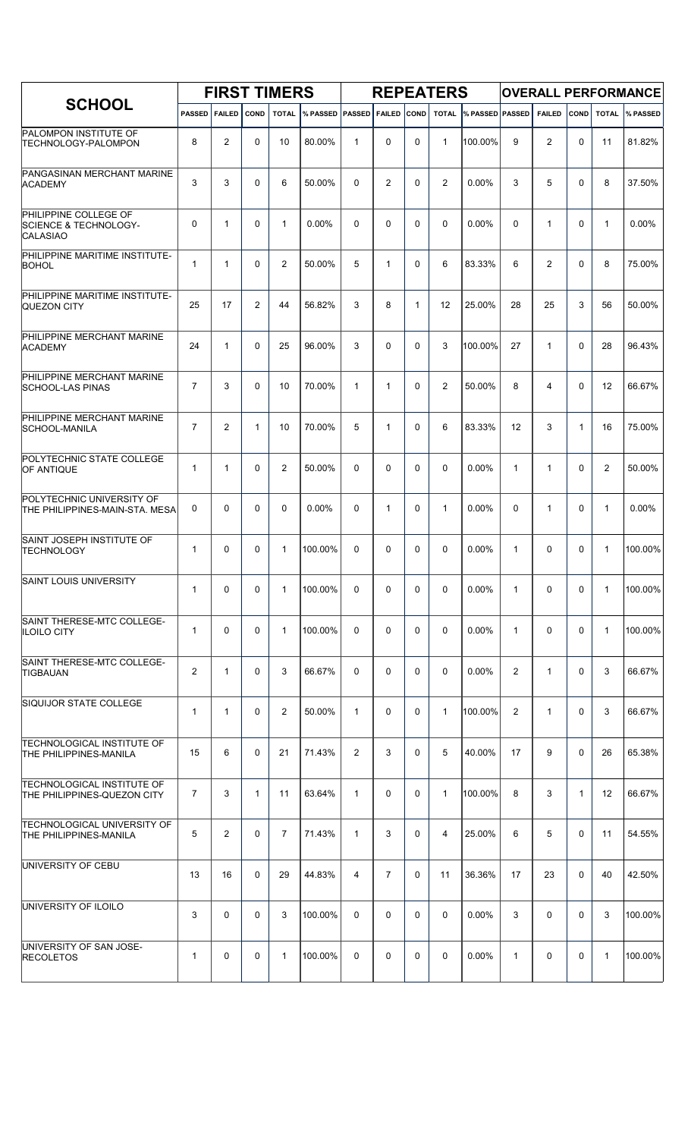| <b>SCHOOL</b>                                                                |                | <b>FIRST TIMERS</b> |                |                |                       |                |                |              | <b>REPEATERS</b> |                 |                |                |              |                | <b>OVERALL PERFORMANCE</b> |
|------------------------------------------------------------------------------|----------------|---------------------|----------------|----------------|-----------------------|----------------|----------------|--------------|------------------|-----------------|----------------|----------------|--------------|----------------|----------------------------|
|                                                                              | <b>PASSED</b>  | <b>FAILED</b>       | <b>COND</b>    | <b>TOTAL</b>   | <b>WEASSED PASSED</b> |                | <b>FAILED</b>  | <b>COND</b>  | <b>TOTAL</b>     | % PASSED PASSED |                | <b>FAILED</b>  | <b>COND</b>  | <b>TOTAL</b>   | <b>% PASSED</b>            |
| <b>PALOMPON INSTITUTE OF</b><br><b>TECHNOLOGY-PALOMPON</b>                   | 8              | $\overline{2}$      | 0              | 10             | 80.00%                | $\mathbf{1}$   | $\mathbf 0$    | 0            | $\mathbf{1}$     | 100.00%         | 9              | $\overline{2}$ | 0            | 11             | 81.82%                     |
| PANGASINAN MERCHANT MARINE<br><b>ACADEMY</b>                                 | 3              | 3                   | 0              | 6              | 50.00%                | $\Omega$       | 2              | 0            | $\overline{2}$   | 0.00%           | 3              | 5              | 0            | 8              | 37.50%                     |
| PHILIPPINE COLLEGE OF<br><b>SCIENCE &amp; TECHNOLOGY-</b><br><b>CALASIAO</b> | 0              | $\mathbf{1}$        | 0              | $\mathbf{1}$   | 0.00%                 | 0              | $\Omega$       | $\Omega$     | $\Omega$         | 0.00%           | $\Omega$       | $\mathbf{1}$   | 0            | $\mathbf{1}$   | 0.00%                      |
| PHILIPPINE MARITIME INSTITUTE-<br><b>BOHOL</b>                               | $\mathbf{1}$   | $\mathbf{1}$        | $\Omega$       | 2              | 50.00%                | 5              | $\mathbf{1}$   | 0            | 6                | 83.33%          | 6              | $\overline{2}$ | 0            | 8              | 75.00%                     |
| PHILIPPINE MARITIME INSTITUTE-<br>QUEZON CITY                                | 25             | 17                  | $\overline{2}$ | 44             | 56.82%                | 3              | 8              | $\mathbf{1}$ | 12               | 25.00%          | 28             | 25             | 3            | 56             | 50.00%                     |
| PHILIPPINE MERCHANT MARINE<br><b>ACADEMY</b>                                 | 24             | $\mathbf{1}$        | 0              | 25             | 96.00%                | 3              | $\Omega$       | $\Omega$     | 3                | 100.00%         | 27             | $\mathbf{1}$   | $\Omega$     | 28             | 96.43%                     |
| PHILIPPINE MERCHANT MARINE<br><b>SCHOOL-LAS PINAS</b>                        | $\overline{7}$ | 3                   | 0              | 10             | 70.00%                | $\mathbf{1}$   | $\mathbf{1}$   | $\Omega$     | $\overline{2}$   | 50.00%          | 8              | 4              | $\Omega$     | 12             | 66.67%                     |
| PHILIPPINE MERCHANT MARINE<br>SCHOOL-MANILA                                  | $\overline{7}$ | 2                   | $\mathbf{1}$   | 10             | 70.00%                | 5              | $\mathbf{1}$   | $\Omega$     | 6                | 83.33%          | 12             | 3              | $\mathbf{1}$ | 16             | 75.00%                     |
| POLYTECHNIC STATE COLLEGE<br><b>OF ANTIQUE</b>                               | $\mathbf{1}$   | $\mathbf{1}$        | 0              | $\overline{2}$ | 50.00%                | 0              | $\Omega$       | $\Omega$     | $\Omega$         | $0.00\%$        | $\mathbf{1}$   | $\mathbf{1}$   | $\Omega$     | $\overline{2}$ | 50.00%                     |
| POLYTECHNIC UNIVERSITY OF<br>THE PHILIPPINES-MAIN-STA. MESA                  | 0              | $\Omega$            | 0              | $\Omega$       | $0.00\%$              | 0              | $\mathbf{1}$   | 0            | $\mathbf{1}$     | $0.00\%$        | $\Omega$       | $\mathbf{1}$   | 0            | $\mathbf{1}$   | 0.00%                      |
| SAINT JOSEPH INSTITUTE OF<br><b>TECHNOLOGY</b>                               | $\mathbf{1}$   | 0                   | 0              | $\mathbf{1}$   | 100.00%               | 0              | $\Omega$       | 0            | $\Omega$         | $0.00\%$        | $\mathbf{1}$   | 0              | 0            | $\mathbf{1}$   | 100.00%                    |
| <b>SAINT LOUIS UNIVERSITY</b>                                                | $\mathbf{1}$   | 0                   | 0              | $\mathbf{1}$   | 100.00%               | 0              | 0              | 0            | 0                | $0.00\%$        | $\mathbf 1$    | 0              | 0            | $\mathbf{1}$   | $100.00\%$                 |
| SAINT THERESE-MTC COLLEGE-<br><b>ILOILO CITY</b>                             | $\mathbf{1}$   | $\Omega$            | $\Omega$       | $\mathbf{1}$   | 100.00%               | $\Omega$       | $\Omega$       | $\Omega$     | $\Omega$         | $0.00\%$        | $\mathbf{1}$   | $\Omega$       | $\Omega$     | $\mathbf{1}$   | 100.00%                    |
| SAINT THERESE-MTC COLLEGE-<br><b>TIGBAUAN</b>                                | $\overline{2}$ | $\mathbf{1}$        | 0              | 3              | 66.67%                | $\Omega$       | $\Omega$       | $\Omega$     | $\Omega$         | $0.00\%$        | $\overline{2}$ | $\mathbf{1}$   | $\Omega$     | 3              | 66.67%                     |
| SIQUIJOR STATE COLLEGE                                                       | $\mathbf{1}$   | $\mathbf{1}$        | $\Omega$       | $\overline{2}$ | 50.00%                | $\mathbf{1}$   | $\Omega$       | $\Omega$     | $\mathbf{1}$     | 100.00%         | $\overline{2}$ | $\mathbf{1}$   | $\Omega$     | 3              | 66.67%                     |
| <b>TECHNOLOGICAL INSTITUTE OF</b><br>THE PHILIPPINES-MANILA                  | 15             | 6                   | $\Omega$       | 21             | 71.43%                | $\overline{2}$ | 3              | $\Omega$     | 5                | 40.00%          | 17             | 9              | $\Omega$     | 26             | 65.38%                     |
| <b>TECHNOLOGICAL INSTITUTE OF</b><br>THE PHILIPPINES-QUEZON CITY             | $\overline{7}$ | 3                   | 1              | 11             | 63.64%                | $\mathbf{1}$   | $\Omega$       | $\Omega$     | $\mathbf{1}$     | 100.00%         | 8              | 3              | $\mathbf{1}$ | 12             | 66.67%                     |
| <b>TECHNOLOGICAL UNIVERSITY OF</b><br>THE PHILIPPINES-MANILA                 | 5              | $\overline{2}$      | $\Omega$       | $\overline{7}$ | 71.43%                | $\mathbf{1}$   | 3              | $\Omega$     | 4                | 25.00%          | 6              | 5              | $\Omega$     | 11             | 54.55%                     |
| UNIVERSITY OF CEBU                                                           | 13             | 16                  | $\Omega$       | 29             | 44.83%                | 4              | $\overline{7}$ | $\Omega$     | 11               | 36.36%          | 17             | 23             | $\Omega$     | 40             | 42.50%                     |
| UNIVERSITY OF ILOILO                                                         | 3              | $\Omega$            | $\Omega$       | 3              | 100.00%               | $\Omega$       | $\Omega$       | $\Omega$     | $\Omega$         | $0.00\%$        | 3              | $\Omega$       | $\Omega$     | 3              | 100.00%                    |
| UNIVERSITY OF SAN JOSE-<br><b>RECOLETOS</b>                                  | $\mathbf{1}$   | $\Omega$            | 0              | $\mathbf{1}$   | 100.00%               | $\Omega$       | $\Omega$       | $\Omega$     | 0                | 0.00%           | $\mathbf{1}$   | 0              | 0            | $\mathbf{1}$   | 100.00%                    |